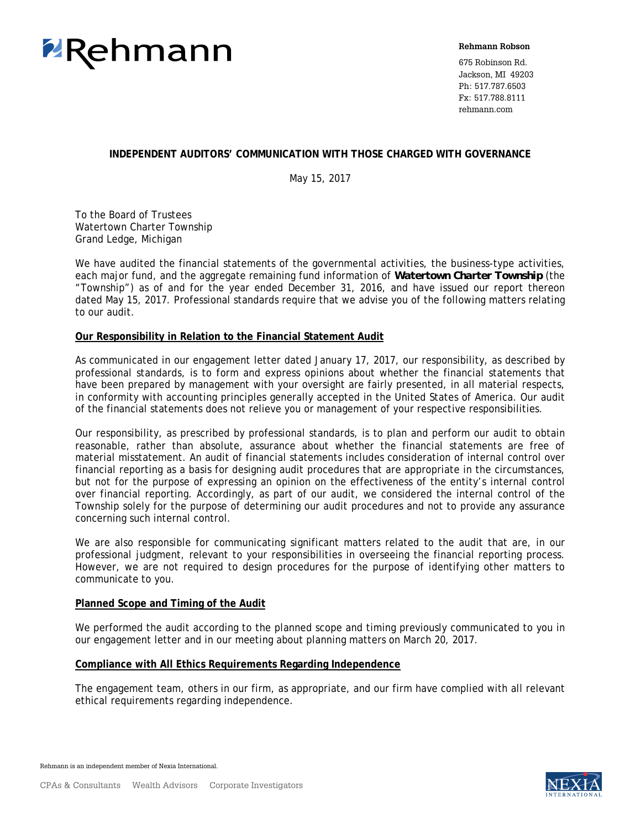

**Rehmann Robson**

675 Robinson Rd. Jackson, MI 49203 Ph: 517.787.6503 Fx: 517.788.8111 rehmann.com

#### **INDEPENDENT AUDITORS' COMMUNICATION WITH THOSE CHARGED WITH GOVERNANCE**

May 15, 2017

To the Board of Trustees Watertown Charter Township Grand Ledge, Michigan

We have audited the financial statements of the governmental activities, the business-type activities, each major fund, and the aggregate remaining fund information of *Watertown Charter Township* (the "Township") as of and for the year ended December 31, 2016, and have issued our report thereon dated May 15, 2017. Professional standards require that we advise you of the following matters relating to our audit.

#### **Our Responsibility in Relation to the Financial Statement Audit**

As communicated in our engagement letter dated January 17, 2017, our responsibility, as described by professional standards, is to form and express opinions about whether the financial statements that have been prepared by management with your oversight are fairly presented, in all material respects, in conformity with accounting principles generally accepted in the United States of America. Our audit of the financial statements does not relieve you or management of your respective responsibilities.

Our responsibility, as prescribed by professional standards, is to plan and perform our audit to obtain reasonable, rather than absolute, assurance about whether the financial statements are free of material misstatement. An audit of financial statements includes consideration of internal control over financial reporting as a basis for designing audit procedures that are appropriate in the circumstances, but not for the purpose of expressing an opinion on the effectiveness of the entity's internal control over financial reporting. Accordingly, as part of our audit, we considered the internal control of the Township solely for the purpose of determining our audit procedures and not to provide any assurance concerning such internal control.

We are also responsible for communicating significant matters related to the audit that are, in our professional judgment, relevant to your responsibilities in overseeing the financial reporting process. However, we are not required to design procedures for the purpose of identifying other matters to communicate to you.

# **Planned Scope and Timing of the Audit**

We performed the audit according to the planned scope and timing previously communicated to you in our engagement letter and in our meeting about planning matters on March 20, 2017.

#### **Compliance with All Ethics Requirements Regarding Independence**

The engagement team, others in our firm, as appropriate, and our firm have complied with all relevant ethical requirements regarding independence.

Rehmann is an independent member of Nexia International.

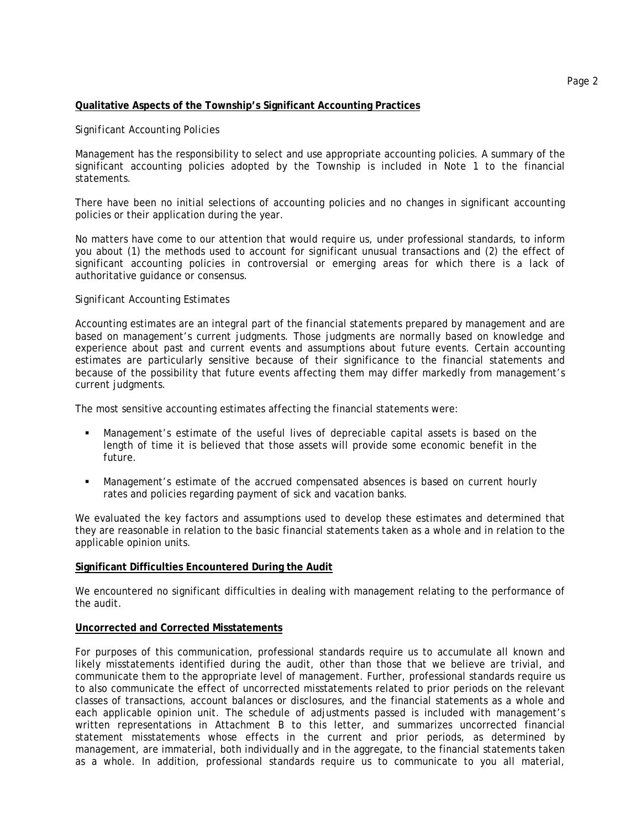#### **Qualitative Aspects of the Township's Significant Accounting Practices**

#### *Significant Accounting Policies*

Management has the responsibility to select and use appropriate accounting policies. A summary of the significant accounting policies adopted by the Township is included in Note 1 to the financial statements.

There have been no initial selections of accounting policies and no changes in significant accounting policies or their application during the year.

No matters have come to our attention that would require us, under professional standards, to inform you about (1) the methods used to account for significant unusual transactions and (2) the effect of significant accounting policies in controversial or emerging areas for which there is a lack of authoritative guidance or consensus.

#### *Significant Accounting Estimates*

Accounting estimates are an integral part of the financial statements prepared by management and are based on management's current judgments. Those judgments are normally based on knowledge and experience about past and current events and assumptions about future events. Certain accounting estimates are particularly sensitive because of their significance to the financial statements and because of the possibility that future events affecting them may differ markedly from management's current judgments.

The most sensitive accounting estimates affecting the financial statements were:

- Management's estimate of the useful lives of depreciable capital assets is based on the length of time it is believed that those assets will provide some economic benefit in the future.
- Management's estimate of the accrued compensated absences is based on current hourly rates and policies regarding payment of sick and vacation banks.

We evaluated the key factors and assumptions used to develop these estimates and determined that they are reasonable in relation to the basic financial statements taken as a whole and in relation to the applicable opinion units.

#### **Significant Difficulties Encountered During the Audit**

We encountered no significant difficulties in dealing with management relating to the performance of the audit.

#### **Uncorrected and Corrected Misstatements**

For purposes of this communication, professional standards require us to accumulate all known and likely misstatements identified during the audit, other than those that we believe are trivial, and communicate them to the appropriate level of management. Further, professional standards require us to also communicate the effect of uncorrected misstatements related to prior periods on the relevant classes of transactions, account balances or disclosures, and the financial statements as a whole and each applicable opinion unit. The schedule of adjustments passed is included with management's written representations in Attachment B to this letter, and summarizes uncorrected financial statement misstatements whose effects in the current and prior periods, as determined by management, are immaterial, both individually and in the aggregate, to the financial statements taken as a whole. In addition, professional standards require us to communicate to you all material,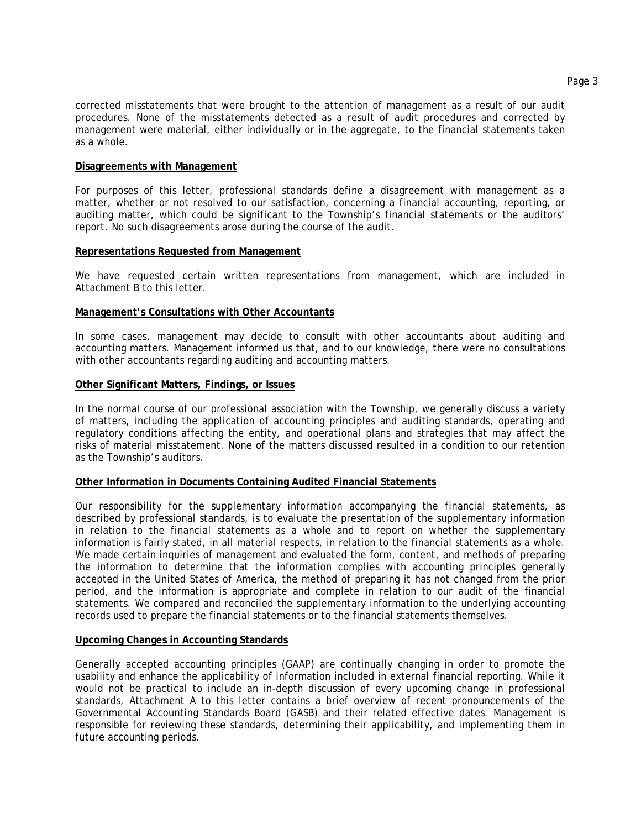corrected misstatements that were brought to the attention of management as a result of our audit procedures. None of the misstatements detected as a result of audit procedures and corrected by management were material, either individually or in the aggregate, to the financial statements taken as a whole.

#### **Disagreements with Management**

For purposes of this letter, professional standards define a disagreement with management as a matter, whether or not resolved to our satisfaction, concerning a financial accounting, reporting, or auditing matter, which could be significant to the Township's financial statements or the auditors' report. No such disagreements arose during the course of the audit.

#### **Representations Requested from Management**

We have requested certain written representations from management, which are included in Attachment B to this letter.

#### **Management's Consultations with Other Accountants**

In some cases, management may decide to consult with other accountants about auditing and accounting matters. Management informed us that, and to our knowledge, there were no consultations with other accountants regarding auditing and accounting matters.

#### **Other Significant Matters, Findings, or Issues**

In the normal course of our professional association with the Township, we generally discuss a variety of matters, including the application of accounting principles and auditing standards, operating and regulatory conditions affecting the entity, and operational plans and strategies that may affect the risks of material misstatement. None of the matters discussed resulted in a condition to our retention as the Township's auditors.

#### **Other Information in Documents Containing Audited Financial Statements**

Our responsibility for the supplementary information accompanying the financial statements, as described by professional standards, is to evaluate the presentation of the supplementary information in relation to the financial statements as a whole and to report on whether the supplementary information is fairly stated, in all material respects, in relation to the financial statements as a whole. We made certain inquiries of management and evaluated the form, content, and methods of preparing the information to determine that the information complies with accounting principles generally accepted in the United States of America, the method of preparing it has not changed from the prior period, and the information is appropriate and complete in relation to our audit of the financial statements. We compared and reconciled the supplementary information to the underlying accounting records used to prepare the financial statements or to the financial statements themselves.

#### **Upcoming Changes in Accounting Standards**

Generally accepted accounting principles (GAAP) are continually changing in order to promote the usability and enhance the applicability of information included in external financial reporting. While it would not be practical to include an in-depth discussion of every upcoming change in professional standards, Attachment A to this letter contains a brief overview of recent pronouncements of the Governmental Accounting Standards Board (GASB) and their related effective dates. Management is responsible for reviewing these standards, determining their applicability, and implementing them in future accounting periods.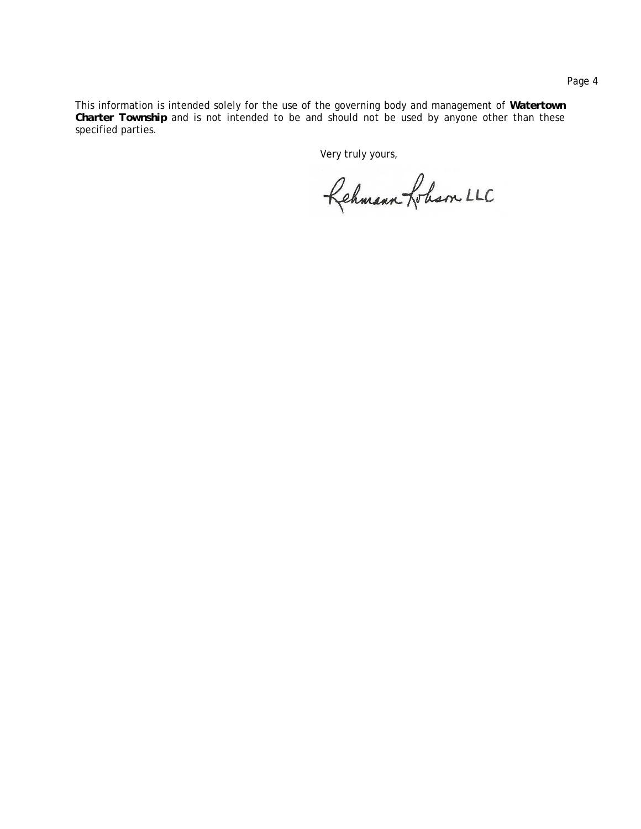This information is intended solely for the use of the governing body and management of *Watertown Charter Township* and is not intended to be and should not be used by anyone other than these specified parties.

Very truly yours,

Rehmann Lobam LLC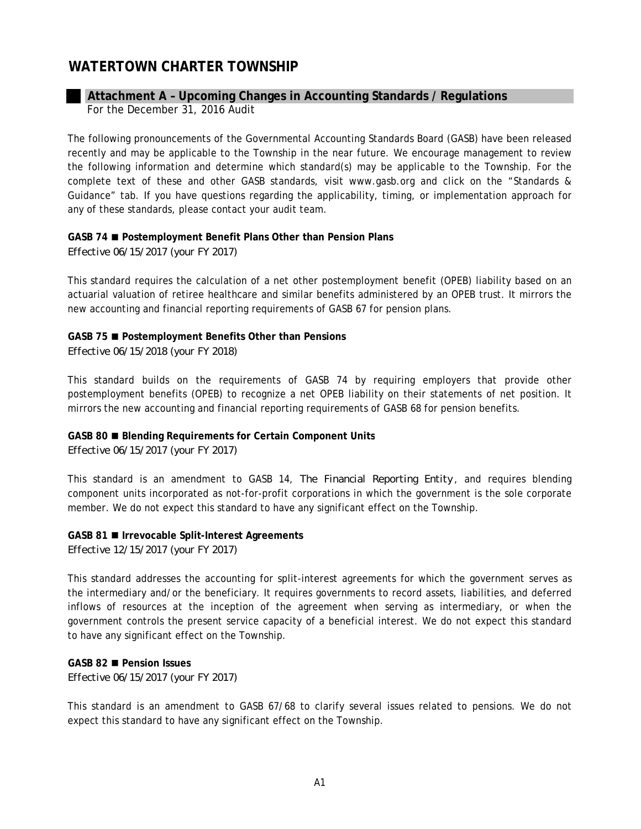# **Attachment A – Upcoming Changes in Accounting Standards / Regulations** For the December 31, 2016 Audit

The following pronouncements of the Governmental Accounting Standards Board (GASB) have been released recently and may be applicable to the Township in the near future. We encourage management to review the following information and determine which standard(s) may be applicable to the Township. For the complete text of these and other GASB standards, visit www.gasb.org and click on the "Standards & Guidance" tab. If you have questions regarding the applicability, timing, or implementation approach for any of these standards, please contact your audit team.

#### **GASB 74 Postemployment Benefit Plans Other than Pension Plans**

*Effective 06/15/2017 (your FY 2017)*

This standard requires the calculation of a net other postemployment benefit (OPEB) liability based on an actuarial valuation of retiree healthcare and similar benefits administered by an OPEB trust. It mirrors the new accounting and financial reporting requirements of GASB 67 for pension plans.

#### **GASB 75 Postemployment Benefits Other than Pensions**

*Effective 06/15/2018 (your FY 2018)*

This standard builds on the requirements of GASB 74 by requiring employers that provide other postemployment benefits (OPEB) to recognize a net OPEB liability on their statements of net position. It mirrors the new accounting and financial reporting requirements of GASB 68 for pension benefits.

# **GASB 80 Blending Requirements for Certain Component Units**

*Effective 06/15/2017 (your FY 2017)*

This standard is an amendment to GASB 14, *The Financial Reporting Entity* , and requires blending component units incorporated as not-for-profit corporations in which the government is the sole corporate member. We do not expect this standard to have any significant effect on the Township.

#### **GASB 81 Irrevocable Split-Interest Agreements**

*Effective 12/15/2017 (your FY 2017)*

This standard addresses the accounting for split-interest agreements for which the government serves as the intermediary and/or the beneficiary. It requires governments to record assets, liabilities, and deferred inflows of resources at the inception of the agreement when serving as intermediary, or when the government controls the present service capacity of a beneficial interest. We do not expect this standard to have any significant effect on the Township.

# **GASB 82 Pension Issues**

*Effective 06/15/2017 (your FY 2017)*

This standard is an amendment to GASB 67/68 to clarify several issues related to pensions. We do not expect this standard to have any significant effect on the Township.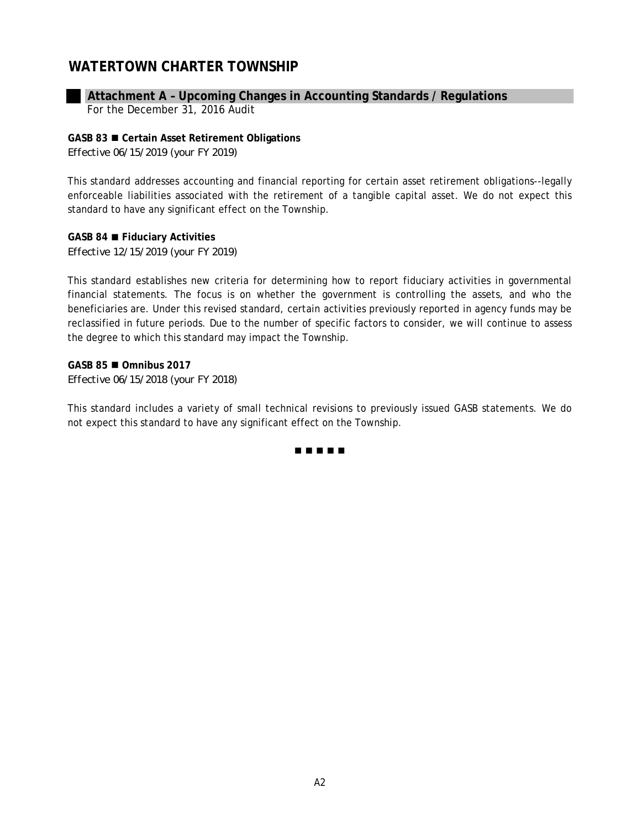# **Attachment A – Upcoming Changes in Accounting Standards / Regulations**

For the December 31, 2016 Audit

# **GASB 83 Certain Asset Retirement Obligations**

*Effective 06/15/2019 (your FY 2019)*

This standard addresses accounting and financial reporting for certain asset retirement obligations--legally enforceable liabilities associated with the retirement of a tangible capital asset. We do not expect this standard to have any significant effect on the Township.

**GASB 84 Fiduciary Activities** *Effective 12/15/2019 (your FY 2019)*

This standard establishes new criteria for determining how to report fiduciary activities in governmental financial statements. The focus is on whether the government is controlling the assets, and who the beneficiaries are. Under this revised standard, certain activities previously reported in agency funds may be reclassified in future periods. Due to the number of specific factors to consider, we will continue to assess the degree to which this standard may impact the Township.

**GASB 85 Omnibus 2017** *Effective 06/15/2018 (your FY 2018)*

This standard includes a variety of small technical revisions to previously issued GASB statements. We do not expect this standard to have any significant effect on the Township.

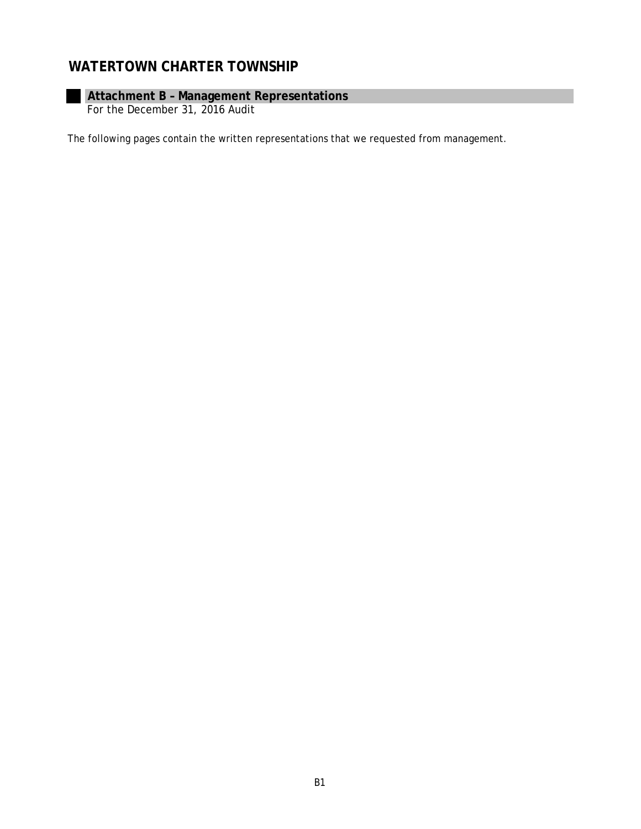# **Attachment B – Management Representations**

For the December 31, 2016 Audit

The following pages contain the written representations that we requested from management.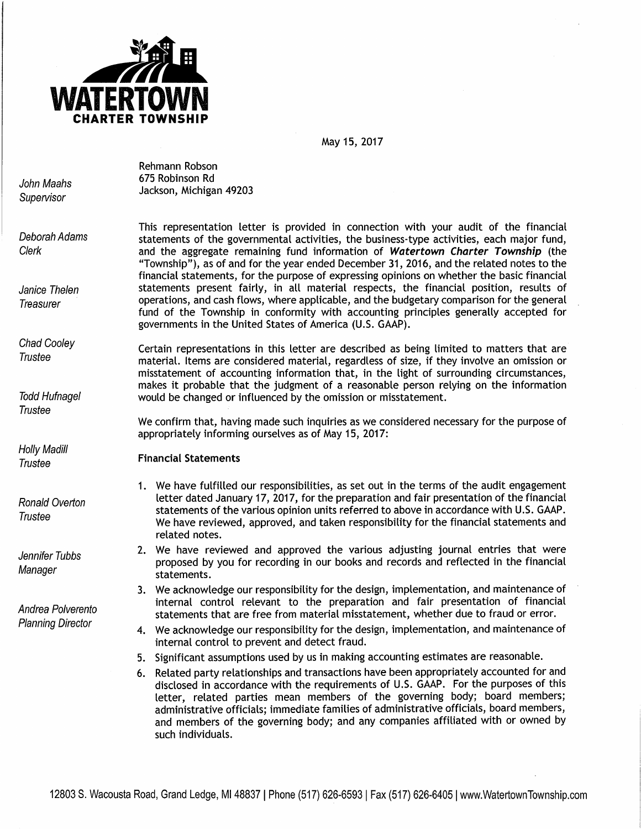

May 15, 2017

John Maahs **Supervisor** 

Rehmann Robson 675 Robinson Rd Jackson, Michigan 49203

Deborah Adams Clerk

Janice Thelen **Treasurer** 

Chad Cooley **Trustee** 

Todd Hufnagel **Trustee** 

Holly Madill **Trustee** 

Ronald Overton **Trustee** 

Jennifer Tubbs **Manager** 

Andrea Polverento Planning Director

This representation letter is provided in connection with your audit of the financial statements of the governmental activities, the business-type activities, each major fund, and the aggregate remaining fund information of **Watertown Charter Township** (the "Township"), as of and for the year ended December 31, 2016, and the related notes to the financial statements, for the purpose of expressing opinions on whether the basic financial statements present fairly, in all material respects, the financial position, results of operations, and cash flows, where applicable, and the budgetary comparison for the general fund of the Township in conformity with accounting principles generally accepted for governments in the United States of America (U.S. GAAP).

Certain representations in this letter are described as being limited to matters that are material. Items are considered material, regardless of size, if they involve an omission or misstatement of accounting information that, in the light of surrounding circumstances, makes it probable that the judgment of a reasonable person relying on the information would be changed or influenced by the omission or misstatement.

We confirm that, having made such inquiries as we considered necessary for the purpose of appropriately informing ourselves as of May 15, 2017:

# **Financial Statements**

- 1. We have fulfilled our responsibilities, as set out in the terms of the audit engagement letter dated January 17, 2017, for the preparation and fair presentation of the financial statements of the various opinion units referred to above in accordance with U.S. GAAP. We have reviewed, approved, and taken responsibility for the financial statements and related notes.
- 2. We have reviewed and approved the various adjusting journal entries that were proposed by you for recording in our books and records and reflected in the financial statements.
- 3. We acknowledge our responsibility for the design, implementation, and maintenance of internal control relevant to the preparation and fair presentation of financial statements that are free from material misstatement, whether due to fraud or error.
- 4. We acknowledge our responsibility for the design, implementation, and maintenance of internal control to prevent and detect fraud.
- 5. Significant assumptions used by us in making accounting estimates are reasonable.
- 6. Related party relationships and transactions have been appropriately accounted for and disclosed in accordance with the requirements of U.S. GAAP. For the purposes of this letter, related parties mean members of the governing body; board members; administrative officials; immediate families of administrative officials, board members, and members of the governing body; and any companies affiliated with or owned by such individuals.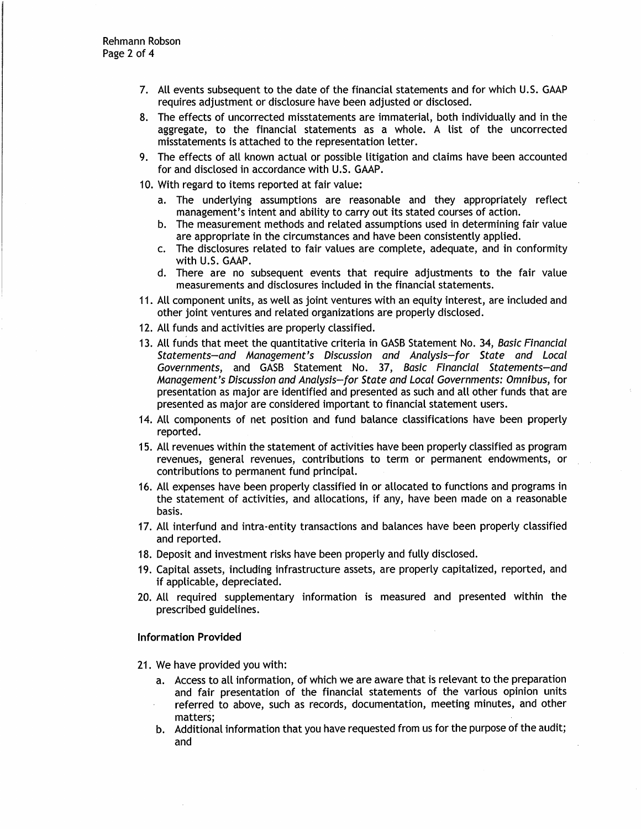- 7. All events subsequent to the date of the financial statements and for which U.S. GAAP requires adjustment or disclosure have been adjusted or disclosed.
- 8. The effects of uncorrected misstatements are immaterial, both individually and in the aggregate, to the financial statements as a whole. A list of the uncorrected misstatements is attached to the representation letter.
- 9. The effects of all known actual or possible litigation and claims have been accounted for and disclosed in accordance with U.S. GAAP.
- 10. With regard to items reported at fair value:
	- a. The underlying assumptions are reasonable and they appropriately reflect management's intent and ability to carry out its stated courses of action.
	- b. The measurement methods and related assumptions used in determining fair value are appropriate in the circumstances and have been consistently applied.
	- c. The disclosures related to fair values are complete, adequate, and in conformity with U.S. GAAP.
	- d. There are no subsequent events that require adjustments to the fair value measurements and disclosures included in the financial statements.
- 11. All component units, as well as joint ventures with an equity interest, are included and other joint ventures and related organizations are properly disclosed.
- 12. All funds and activities are properly classified.
- 13. All funds that meet the quantitative criteria in GASB Statement No. 34, Basic Financial Statements-and Management's Discussion and Analysis-for State and Local Governments, and GASB Statement No. 37, Basic Financial Statements-and Management's Discussion and Analysis-for State and Local Governments: Omnibus, for presentation as major are identified and presented as such and all other funds that are presented as major are considered important to financial statement users.
- 14. All components of net position and fund balance classifications have been properly reported.
- 15. All revenues within the statement of activities have been properly classified as program revenues, general revenues, contributions to term or permanent endowments, or contributions to permanent fund principal.
- 16. All expenses have been properly classified in or allocated to functions and programs in the statement of activities, and allocations, if any, have been made on a reasonable basis.
- 17. All interfund and intra-entity transactions and balances have been properly classified and reported.
- 18. Deposit and investment risks have been properly and fully disclosed.
- 19. Capital assets, including infrastructure assets, are properly capitalized, reported, and if applicable, depreciated.
- 20. All required supplementary information is measured and presented within the prescribed guidelines.

#### **Information Provided**

- 21. We have provided you with:
	- a. Access to all information, of which we are aware that is relevant to the preparation and fair presentation of the financial statements of the various opinion units referred to above, such as records, documentation, meeting minutes, and other matters;
	- b. Additional information that you have requested from us for the purpose of the audit; and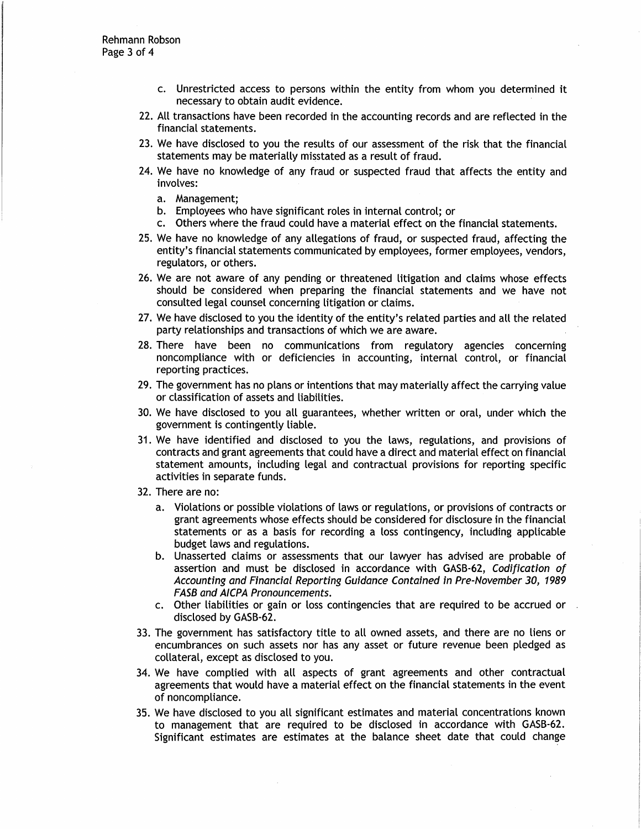- c. Unrestricted access to persons within the entity from whom you determined it necessary to obtain audit evidence.
- 22. All transactions have been recorded in the accounting records and are reflected in the financial statements.
- 23. We have disclosed to you the results of our assessment of the risk that the financial statements may be materially misstated as a result of fraud.
- 24. We have no knowledge of any fraud or suspected fraud that affects the entity and involves:
	- a. Management;
	- b. Employees who have significant roles in internal control; or
	- c. Others where the fraud could have a material effect on the financial statements.
- 25. We have no knowledge of any allegations of fraud, or suspected fraud, affecting the entity's financial statements communicated by employees, former employees, vendors, regulators, or others.
- 26. We are not aware of any pending or threatened litigation and claims whose effects should be considered when preparing the financial statements and we have not consulted legal counsel concerning litigation or claims.
- 27. We have disclosed to you the identity of the entity's related parties and all the related party relationships and transactions of which we are aware.
- 28. There have been no communications from regulatory agencies concerning noncompliance with or deficiencies in accounting, internal control, or financial reporting practices.
- 29. The government has no plans or intentions that may materially affect the carrying value or classification of assets and liabilities.
- 30. We have disclosed to you all guarantees, whether written or oral, under which the government is contingently liable.
- 31. We have identified and disclosed to you the laws, regulations, and provisions of contracts and grant agreements that could have a direct and material effect on financial statement amounts, including legal and contractual provisions for reporting specific activities in separate funds.
- 32. There are no:
	- a. Violations or possible violations of laws or regulations, or provisions of contracts or grant agreements whose effects should be considered for disclosure in the financial statements or as a basis for recording a loss contingency, including applicable budget laws and regulations.
	- b. Unasserted claims or assessments that our lawyer has advised are probable of assertion and must be disclosed in accordance with GASB-62, Codification of Accounting and Financial Reporting Guidance Contained in Pre-November 30, 1989 FASB and A/CPA Pronouncements.
	- c. Other liabilities or gain or loss contingencies that are required to be accrued or disclosed by GASB-62.
- 33. The government has satisfactory title to all owned assets, and there are no liens or encumbrances on such assets nor has any asset or future revenue been pledged as collateral, except as disclosed to you.
- 34. We have complied with all aspects of grant agreements and other contractual agreements that would have a material effect on the financial statements in the event of noncompliance.
- 35. We have disclosed to you all significant estimates and material concentrations known to management that are required to be disclosed in accordance with GASB-62. Significant estimates are estimates at the balance sheet date that could change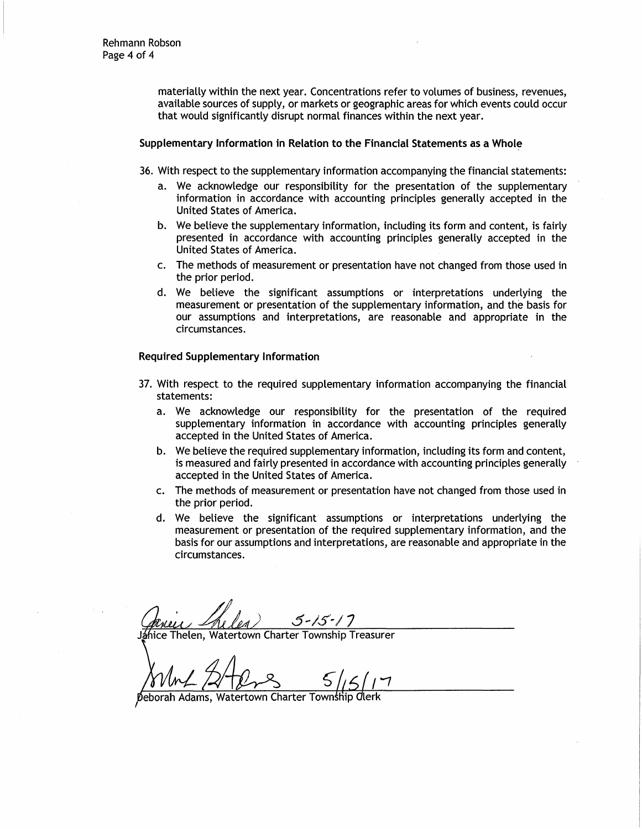materially within the next year. Concentrations refer to volumes of business, revenues, available sources of supply, or markets or geographic areas for which events could occur that would significantly disrupt normal finances within the next year.

#### Supplementary Information in Relation to the Financial Statements as a Whole

36. With respect to the supplementary information accompanying the financial statements:

- a. We acknowledge our responsibility for the presentation of the supplementary information in accordance with accounting principles generally accepted in the United States of America.
- b. We believe the supplementary information, including its form and content, is fairly presented in accordance with accounting principles generally accepted in the United States of America.
- c. The methods of measurement or presentation have not changed from those used in the prior period.
- d. We believe the significant assumptions or interpretations underlying the measurement or presentation of the supplementary information, and the basis for our assumptions and interpretations, are reasonable and appropriate in the circumstances.

#### **Required Supplementary Information**

- 37. With respect to the required supplementary information accompanying the financial statements:
	- a. We acknowledge our responsibility for the presentation of the required supplementary information in accordance with accounting principles generally accepted in the United States of America.
	- b. We believe the required supplementary information, including its form and content, is measured and fairly presented in accordance with accounting principles generally accepted in the United States of America.
	- c. The methods of measurement or presentation have not changed from those used in the prior period.
	- d. We believe the significant assumptions or interpretations underlying the measurement or presentation of the required supplementary information, and the basis for our assumptions and interpretations, are reasonable and appropriate in the circumstances.

 $5 - 15 - 1$ 

hice Thelen. Watertown Charter Township Treasurer

Watertown Charter Township Clerk ah Adams,